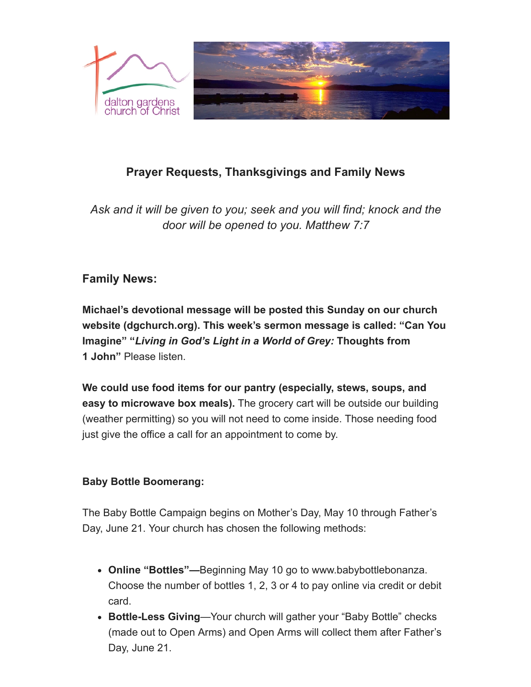

# **Prayer Requests, Thanksgivings and Family News**

*Ask and it will be given to you; seek and you will find; knock and the door will be opened to you. Matthew 7:7*

# **Family News:**

**Michael's devotional message will be posted this Sunday on our church website (dgchurch.org). This week's sermon message is called: "Can You Imagine" "***Living in God's Light in a World of Grey:* **Thoughts from 1 John"** Please listen.

**We could use food items for our pantry (especially, stews, soups, and easy to microwave box meals).** The grocery cart will be outside our building (weather permitting) so you will not need to come inside. Those needing food just give the office a call for an appointment to come by.

#### **Baby Bottle Boomerang:**

The Baby Bottle Campaign begins on Mother's Day, May 10 through Father's Day, June 21. Your church has chosen the following methods:

- **Online "Bottles"—**Beginning May 10 go to www.babybottlebonanza. Choose the number of bottles 1, 2, 3 or 4 to pay online via credit or debit card.
- **Bottle-Less Giving**—Your church will gather your "Baby Bottle" checks (made out to Open Arms) and Open Arms will collect them after Father's Day, June 21.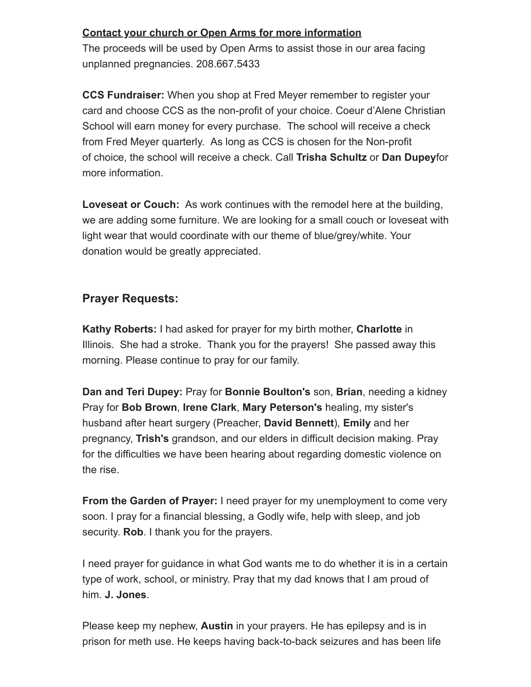#### **Contact your church or Open Arms for more information**

The proceeds will be used by Open Arms to assist those in our area facing unplanned pregnancies. 208.667.5433

**CCS Fundraiser:** When you shop at Fred Meyer remember to register your card and choose CCS as the non-profit of your choice. Coeur d'Alene Christian School will earn money for every purchase. The school will receive a check from Fred Meyer quarterly. As long as CCS is chosen for the Non-profit of choice, the school will receive a check. Call **Trisha Schultz** or **Dan Dupey**for more information.

**Loveseat or Couch:** As work continues with the remodel here at the building, we are adding some furniture. We are looking for a small couch or loveseat with light wear that would coordinate with our theme of blue/grey/white. Your donation would be greatly appreciated.

## **Prayer Requests:**

**Kathy Roberts:** I had asked for prayer for my birth mother, **Charlotte** in Illinois. She had a stroke. Thank you for the prayers! She passed away this morning. Please continue to pray for our family.

**Dan and Teri Dupey:** Pray for **Bonnie Boulton's** son, **Brian**, needing a kidney Pray for **Bob Brown**, **Irene Clark**, **Mary Peterson's** healing, my sister's husband after heart surgery (Preacher, **David Bennett**), **Emily** and her pregnancy, **Trish's** grandson, and our elders in difficult decision making. Pray for the difficulties we have been hearing about regarding domestic violence on the rise.

**From the Garden of Prayer:** I need prayer for my unemployment to come very soon. I pray for a financial blessing, a Godly wife, help with sleep, and job security. **Rob**. I thank you for the prayers.

I need prayer for guidance in what God wants me to do whether it is in a certain type of work, school, or ministry. Pray that my dad knows that I am proud of him. **J. Jones**.

Please keep my nephew, **Austin** in your prayers. He has epilepsy and is in prison for meth use. He keeps having back-to-back seizures and has been life